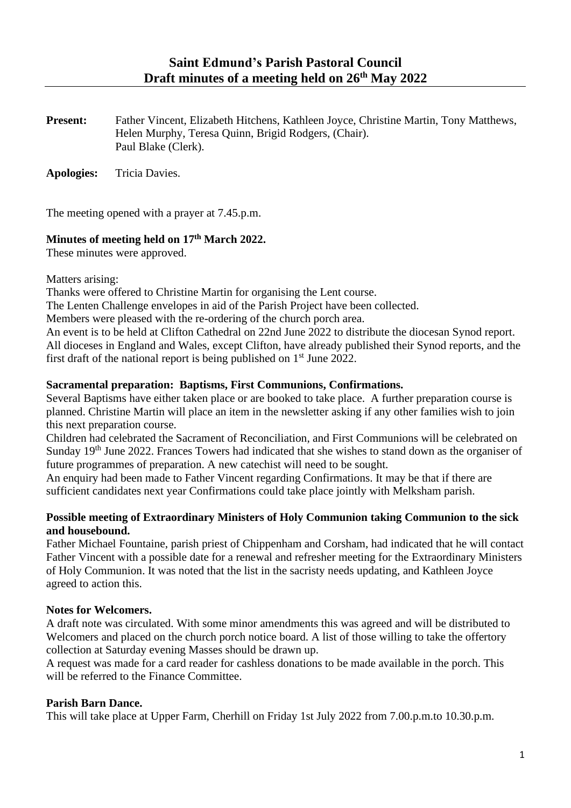**Present:** Father Vincent, Elizabeth Hitchens, Kathleen Joyce, Christine Martin, Tony Matthews, Helen Murphy, Teresa Quinn, Brigid Rodgers, (Chair). Paul Blake (Clerk).

**Apologies:** Tricia Davies.

The meeting opened with a prayer at 7.45.p.m.

# **Minutes of meeting held on 17th March 2022.**

These minutes were approved.

Matters arising:

Thanks were offered to Christine Martin for organising the Lent course.

The Lenten Challenge envelopes in aid of the Parish Project have been collected.

Members were pleased with the re-ordering of the church porch area.

An event is to be held at Clifton Cathedral on 22nd June 2022 to distribute the diocesan Synod report. All dioceses in England and Wales, except Clifton, have already published their Synod reports, and the first draft of the national report is being published on  $1<sup>st</sup>$  June 2022.

# **Sacramental preparation: Baptisms, First Communions, Confirmations.**

Several Baptisms have either taken place or are booked to take place. A further preparation course is planned. Christine Martin will place an item in the newsletter asking if any other families wish to join this next preparation course.

Children had celebrated the Sacrament of Reconciliation, and First Communions will be celebrated on Sunday 19<sup>th</sup> June 2022. Frances Towers had indicated that she wishes to stand down as the organiser of future programmes of preparation. A new catechist will need to be sought.

An enquiry had been made to Father Vincent regarding Confirmations. It may be that if there are sufficient candidates next year Confirmations could take place jointly with Melksham parish.

# **Possible meeting of Extraordinary Ministers of Holy Communion taking Communion to the sick and housebound.**

Father Michael Fountaine, parish priest of Chippenham and Corsham, had indicated that he will contact Father Vincent with a possible date for a renewal and refresher meeting for the Extraordinary Ministers of Holy Communion. It was noted that the list in the sacristy needs updating, and Kathleen Joyce agreed to action this.

# **Notes for Welcomers.**

A draft note was circulated. With some minor amendments this was agreed and will be distributed to Welcomers and placed on the church porch notice board. A list of those willing to take the offertory collection at Saturday evening Masses should be drawn up.

A request was made for a card reader for cashless donations to be made available in the porch. This will be referred to the Finance Committee.

# **Parish Barn Dance.**

This will take place at Upper Farm, Cherhill on Friday 1st July 2022 from 7.00.p.m.to 10.30.p.m.